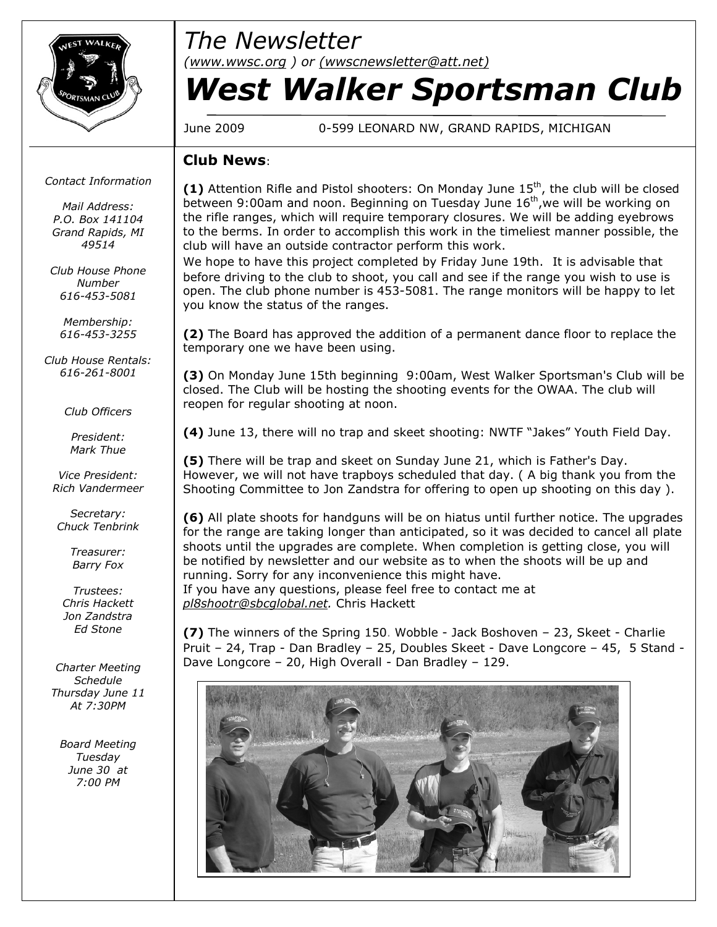

# *The Newsletter*

*([www.wwsc.org](http://www.wwsc.org/) ) or ([wwscnewsletter@att.net\)](mailto:wwscnewsletter@att.net)*

# *West Walker Sportsman Club*

June 2009 0-599 LEONARD NW, GRAND RAPIDS, MICHIGAN

### **Club News**:

*Contact Information*

*Mail Address: P.O. Box 141104 Grand Rapids, MI 49514*

*Club House Phone Number 616-453-5081*

*Membership: 616-453-3255*

*Club House Rentals: 616-261-8001*

*Club Officers*

*President: Mark Thue*

*Vice President: Rich Vandermeer*

*Secretary: Chuck Tenbrink*

> *Treasurer: Barry Fox*

*Trustees: Chris Hackett Jon Zandstra Ed Stone*

*Charter Meeting Schedule Thursday June 11 At 7:30PM*

*Board Meeting Tuesday June 30 at 7:00 PM*

(1) Attention Rifle and Pistol shooters: On Monday June 15<sup>th</sup>, the club will be closed between 9:00am and noon. Beginning on Tuesday June 16<sup>th</sup>, we will be working on the rifle ranges, which will require temporary closures. We will be adding eyebrows to the berms. In order to accomplish this work in the timeliest manner possible, the club will have an outside contractor perform this work.

We hope to have this project completed by Friday June 19th. It is advisable that before driving to the club to shoot, you call and see if the range you wish to use is open. The club phone number is 453-5081. The range monitors will be happy to let you know the status of the ranges.

**(2)** The Board has approved the addition of a permanent dance floor to replace the temporary one we have been using.

**(3)** On Monday June 15th beginning 9:00am, West Walker Sportsman's Club will be closed. The Club will be hosting the shooting events for the OWAA. The club will reopen for regular shooting at noon.

**(4)** June 13, there will no trap and skeet shooting: NWTF "Jakes" Youth Field Day.

**(5)** There will be trap and skeet on Sunday June 21, which is Father's Day. However, we will not have trapboys scheduled that day. ( A big thank you from the Shooting Committee to Jon Zandstra for offering to open up shooting on this day ).

**(6)** All plate shoots for handguns will be on hiatus until further notice. The upgrades for the range are taking longer than anticipated, so it was decided to cancel all plate shoots until the upgrades are complete. When completion is getting close, you will be notified by newsletter and our website as to when the shoots will be up and running. Sorry for any inconvenience this might have. If you have any questions, please feel free to contact me at

*[pl8shootr@sbcglobal.net](mailto:pl8shootr@sbcglobal.net).* Chris Hackett

**(7)** The winners of the Spring 150. Wobble - Jack Boshoven – 23, Skeet - Charlie Pruit – 24, Trap - Dan Bradley – 25, Doubles Skeet - Dave Longcore – 45, 5 Stand - Dave Longcore – 20, High Overall - Dan Bradley – 129.

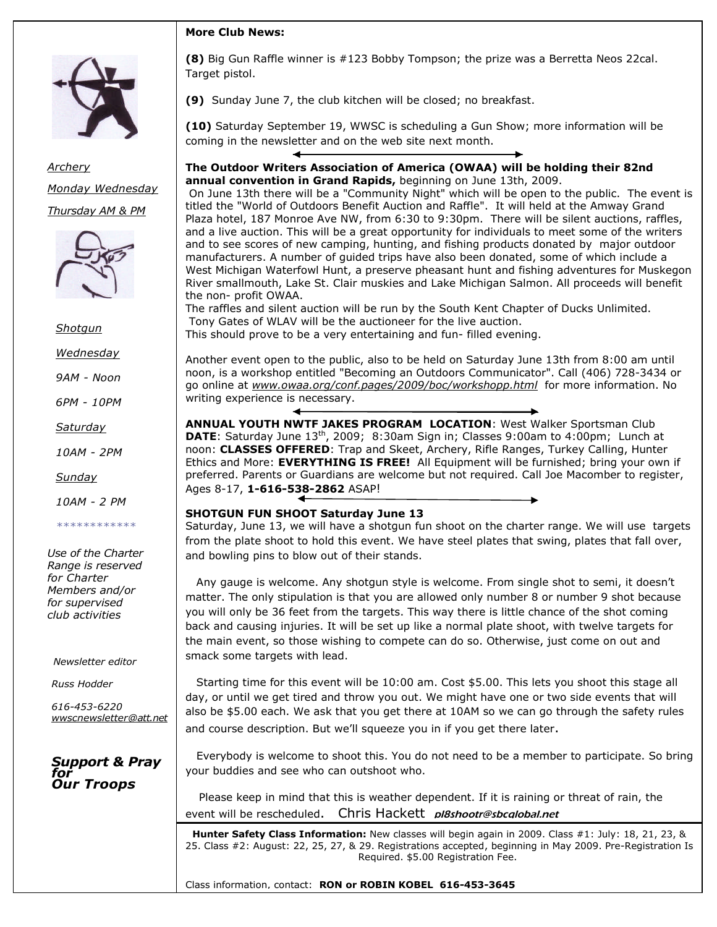



*Archery Monday Wednesday Thursday AM & PM*



*Shotgun*

*Wednesday*

*9AM - Noon*

*6PM - 10PM*

*Saturday*

*10AM - 2PM*

*Sunday*

*10AM - 2 PM*

*\*\*\*\*\*\*\*\*\*\*\*\**

*Use of the Charter Range is reserved for Charter Members and/or for supervised club activities*

*Newsletter editor*

*Russ Hodder*

*616-453-6220 wwscnewsletter[@att.net](http://att.net/)*

#### *Support & Pray for Our Troops*

**(8)** Big Gun Raffle winner is #123 Bobby Tompson; the prize was a Berretta Neos 22cal. Target pistol.

**(9)** Sunday June 7, the club kitchen will be closed; no breakfast.

**(10)** Saturday September 19, WWSC is scheduling a Gun Show; more information will be coming in the newsletter and on the web site next month.

#### **The Outdoor Writers Association of America (OWAA) will be holding their 82nd annual convention in Grand Rapids,** beginning on June 13th, 2009.

On June 13th there will be a "Community Night" which will be open to the public. The event is titled the "World of Outdoors Benefit Auction and Raffle". It will held at the Amway Grand Plaza hotel, 187 Monroe Ave NW, from 6:30 to 9:30pm. There will be silent auctions, raffles, and a live auction. This will be a great opportunity for individuals to meet some of the writers and to see scores of new camping, hunting, and fishing products donated by major outdoor manufacturers. A number of guided trips have also been donated, some of which include a West Michigan Waterfowl Hunt, a preserve pheasant hunt and fishing adventures for Muskegon River smallmouth, Lake St. Clair muskies and Lake Michigan Salmon. All proceeds will benefit the non- profit OWAA.

The raffles and silent auction will be run by the South Kent Chapter of Ducks Unlimited. Tony Gates of WLAV will be the auctioneer for the live auction. This should prove to be a very entertaining and fun- filled evening.

Another event open to the public, also to be held on Saturday June 13th from 8:00 am until noon, is a workshop entitled "Becoming an Outdoors Communicator". Call (406) 728-3434 or go online at *[www.owaa.org/conf.pages/2009/boc/workshopp.html](http://www.owaa.org/conf.pages/2009/boc/workshopp.html)* for more information. No writing experience is necessary.

**ANNUAL YOUTH NWTF JAKES PROGRAM LOCATION**: West Walker Sportsman Club **DATE**: Saturday June 13<sup>th</sup>, 2009; 8:30am Sign in; Classes 9:00am to 4:00pm; Lunch at noon: **CLASSES OFFERED**: Trap and Skeet, Archery, Rifle Ranges, Turkey Calling, Hunter Ethics and More: **EVERYTHING IS FREE!** All Equipment will be furnished; bring your own if preferred. Parents or Guardians are welcome but not required. Call Joe Macomber to register, Ages 8-17, **1-616-538-2862** ASAP!

#### **SHOTGUN FUN SHOOT Saturday June 13**

Saturday, June 13, we will have a shotgun fun shoot on the charter range. We will use targets from the plate shoot to hold this event. We have steel plates that swing, plates that fall over, and bowling pins to blow out of their stands.

Any gauge is welcome. Any shotgun style is welcome. From single shot to semi, it doesn't matter. The only stipulation is that you are allowed only number 8 or number 9 shot because you will only be 36 feet from the targets. This way there is little chance of the shot coming back and causing injuries. It will be set up like a normal plate shoot, with twelve targets for the main event, so those wishing to compete can do so. Otherwise, just come on out and smack some targets with lead.

Starting time for this event will be 10:00 am. Cost \$5.00. This lets you shoot this stage all day, or until we get tired and throw you out. We might have one or two side events that will also be \$5.00 each. We ask that you get there at 10AM so we can go through the safety rules and course description. But we'll squeeze you in if you get there later.

Everybody is welcome to shoot this. You do not need to be a member to participate. So bring your buddies and see who can outshoot who.

Please keep in mind that this is weather dependent. If it is raining or threat of rain, the event will be rescheduled. Chris Hackett pl8shootr@sbcalobal.net

**Hunter Safety Class Information:** New classes will begin again in 2009. Class #1: July: 18, 21, 23, & 25. Class #2: August: 22, 25, 27, & 29. Registrations accepted, beginning in May 2009. Pre-Registration Is Required. \$5.00 Registration Fee.

Class information, contact: **RON or ROBIN KOBEL 616-453-3645**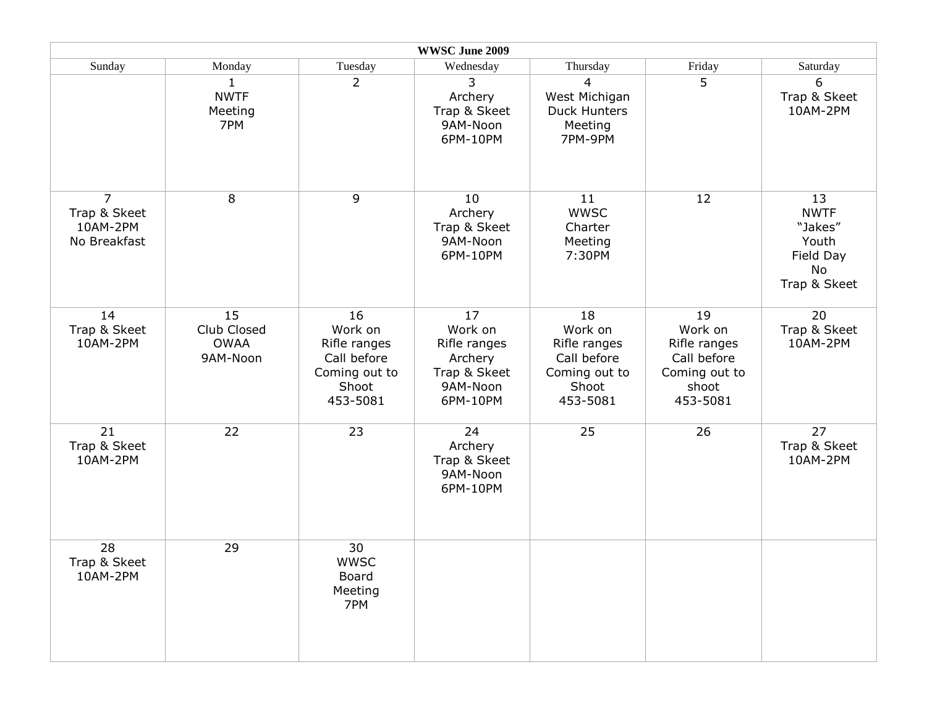|                                                            |                                              |                                                                                    | WWSC June 2009                                                                   |                                                                                    |                                                                                    |                                                                          |
|------------------------------------------------------------|----------------------------------------------|------------------------------------------------------------------------------------|----------------------------------------------------------------------------------|------------------------------------------------------------------------------------|------------------------------------------------------------------------------------|--------------------------------------------------------------------------|
| Sunday                                                     | Monday                                       | Tuesday                                                                            | Wednesday                                                                        | Thursday                                                                           | Friday                                                                             | Saturday                                                                 |
|                                                            | 1<br><b>NWTF</b><br>Meeting<br>7PM           | $\overline{2}$                                                                     | 3<br>Archery<br>Trap & Skeet<br>9AM-Noon<br>6PM-10PM                             | 4<br>West Michigan<br><b>Duck Hunters</b><br>Meeting<br>7PM-9PM                    | 5                                                                                  | 6<br>Trap & Skeet<br>10AM-2PM                                            |
| $\overline{7}$<br>Trap & Skeet<br>10AM-2PM<br>No Breakfast | 8                                            | 9                                                                                  | 10<br>Archery<br>Trap & Skeet<br>9AM-Noon<br>6PM-10PM                            | 11<br><b>WWSC</b><br>Charter<br>Meeting<br>7:30PM                                  | 12                                                                                 | 13<br><b>NWTF</b><br>"Jakes"<br>Youth<br>Field Day<br>No<br>Trap & Skeet |
| 14<br>Trap & Skeet<br>10AM-2PM                             | 15<br>Club Closed<br><b>OWAA</b><br>9AM-Noon | 16<br>Work on<br>Rifle ranges<br>Call before<br>Coming out to<br>Shoot<br>453-5081 | 17<br>Work on<br>Rifle ranges<br>Archery<br>Trap & Skeet<br>9AM-Noon<br>6PM-10PM | 18<br>Work on<br>Rifle ranges<br>Call before<br>Coming out to<br>Shoot<br>453-5081 | 19<br>Work on<br>Rifle ranges<br>Call before<br>Coming out to<br>shoot<br>453-5081 | 20<br>Trap & Skeet<br>10AM-2PM                                           |
| 21<br>Trap & Skeet<br>10AM-2PM                             | 22                                           | 23                                                                                 | 24<br>Archery<br>Trap & Skeet<br>9AM-Noon<br>6PM-10PM                            | 25                                                                                 | 26                                                                                 | 27<br>Trap & Skeet<br>10AM-2PM                                           |
| 28<br>Trap & Skeet<br>10AM-2PM                             | 29                                           | 30<br><b>WWSC</b><br>Board<br>Meeting<br>7PM                                       |                                                                                  |                                                                                    |                                                                                    |                                                                          |